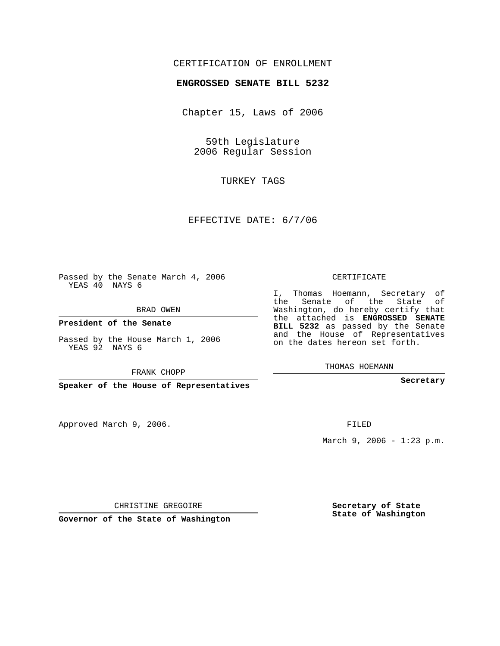## CERTIFICATION OF ENROLLMENT

## **ENGROSSED SENATE BILL 5232**

Chapter 15, Laws of 2006

59th Legislature 2006 Regular Session

TURKEY TAGS

EFFECTIVE DATE: 6/7/06

Passed by the Senate March 4, 2006 YEAS 40 NAYS 6

BRAD OWEN

**President of the Senate**

Passed by the House March 1, 2006 YEAS 92 NAYS 6

FRANK CHOPP

**Speaker of the House of Representatives**

Approved March 9, 2006.

CERTIFICATE

I, Thomas Hoemann, Secretary of the Senate of the State of Washington, do hereby certify that the attached is **ENGROSSED SENATE BILL 5232** as passed by the Senate and the House of Representatives on the dates hereon set forth.

THOMAS HOEMANN

**Secretary**

FILED

March 9, 2006 - 1:23 p.m.

CHRISTINE GREGOIRE

**Governor of the State of Washington**

**Secretary of State State of Washington**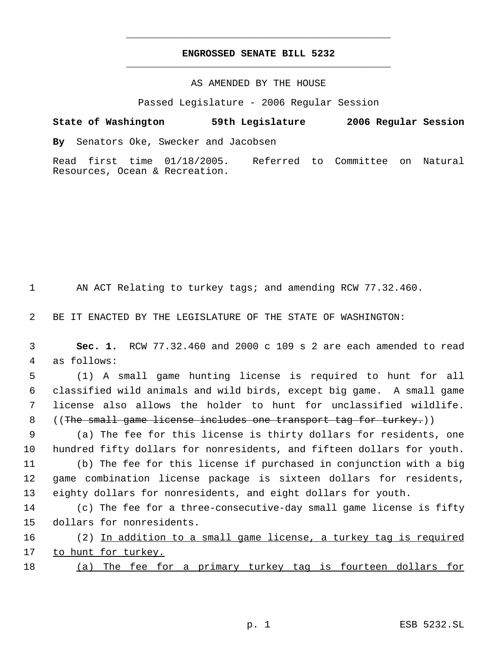## **ENGROSSED SENATE BILL 5232** \_\_\_\_\_\_\_\_\_\_\_\_\_\_\_\_\_\_\_\_\_\_\_\_\_\_\_\_\_\_\_\_\_\_\_\_\_\_\_\_\_\_\_\_\_

\_\_\_\_\_\_\_\_\_\_\_\_\_\_\_\_\_\_\_\_\_\_\_\_\_\_\_\_\_\_\_\_\_\_\_\_\_\_\_\_\_\_\_\_\_

## AS AMENDED BY THE HOUSE

Passed Legislature - 2006 Regular Session

**State of Washington 59th Legislature 2006 Regular Session By** Senators Oke, Swecker and Jacobsen

Read first time 01/18/2005. Referred to Committee on Natural Resources, Ocean & Recreation.

1 AN ACT Relating to turkey tags; and amending RCW 77.32.460.

2 BE IT ENACTED BY THE LEGISLATURE OF THE STATE OF WASHINGTON:

 3 **Sec. 1.** RCW 77.32.460 and 2000 c 109 s 2 are each amended to read 4 as follows:

 (1) A small game hunting license is required to hunt for all classified wild animals and wild birds, except big game. A small game license also allows the holder to hunt for unclassified wildlife. 8 ((The small game license includes one transport tag for turkey.))

 9 (a) The fee for this license is thirty dollars for residents, one 10 hundred fifty dollars for nonresidents, and fifteen dollars for youth.

11 (b) The fee for this license if purchased in conjunction with a big 12 game combination license package is sixteen dollars for residents, 13 eighty dollars for nonresidents, and eight dollars for youth.

14 (c) The fee for a three-consecutive-day small game license is fifty 15 dollars for nonresidents.

16 (2) In addition to a small game license, a turkey tag is required 17 to hunt for turkey.

18 (a) The fee for a primary turkey tag is fourteen dollars for